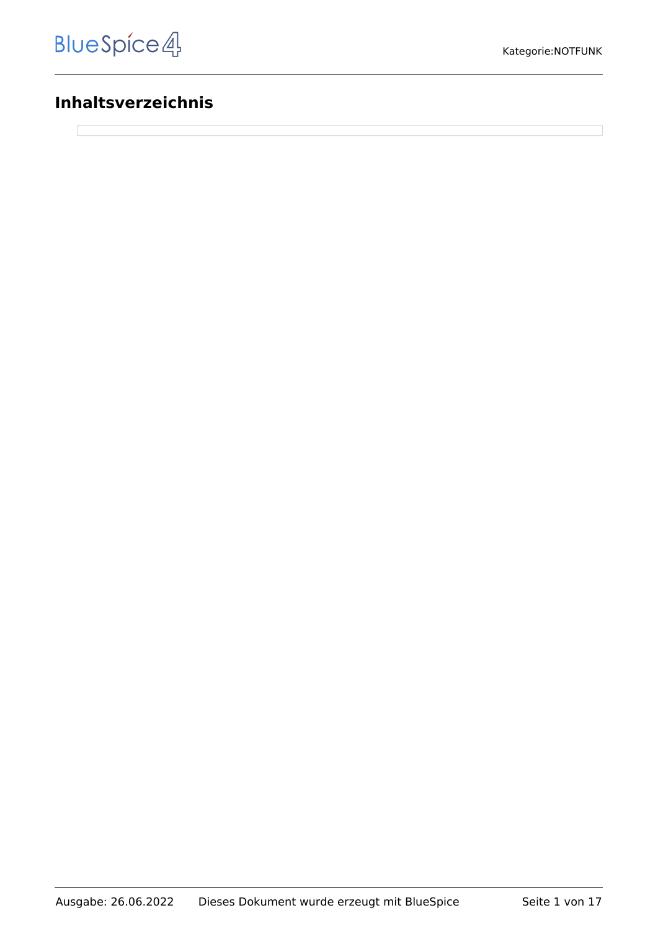# **Inhaltsverzeichnis**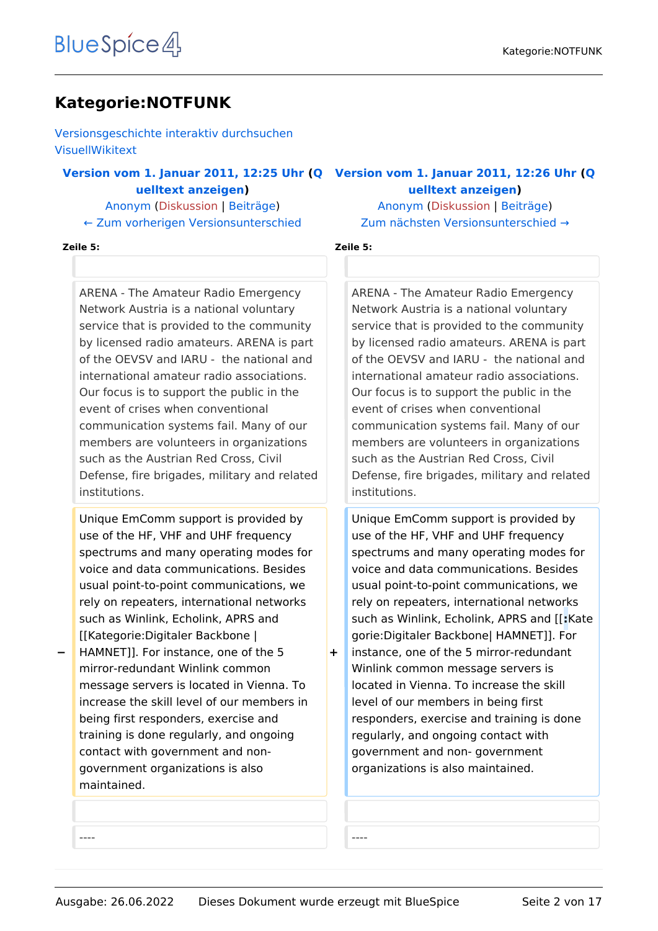# **Kategorie:NOTFUNK**

[Versionsgeschichte interaktiv durchsuchen](https://wiki.oevsv.at) [VisuellWikitext](https://wiki.oevsv.at)

#### **[Version vom 1. Januar 2011, 12:25 Uhr](https://wiki.oevsv.at/w/index.php?title=Kategorie:NOTFUNK&oldid=7792) [\(Q](https://wiki.oevsv.at/w/index.php?title=Kategorie:NOTFUNK&action=edit&oldid=7792) [Version vom 1. Januar 2011, 12:26 Uhr](https://wiki.oevsv.at/w/index.php?title=Kategorie:NOTFUNK&oldid=7793) ([Q](https://wiki.oevsv.at/w/index.php?title=Kategorie:NOTFUNK&action=edit&oldid=7793) [uelltext anzeigen](https://wiki.oevsv.at/w/index.php?title=Kategorie:NOTFUNK&action=edit&oldid=7792))**

[Anonym](https://wiki.oevsv.at/wiki/Benutzer:Anonym) ([Diskussion](https://wiki.oevsv.at/w/index.php?title=Benutzer_Diskussion:Anonym&action=view) | [Beiträge](https://wiki.oevsv.at/wiki/Spezial:Beitr%C3%A4ge/Anonym)) [← Zum vorherigen Versionsunterschied](https://wiki.oevsv.at/w/index.php?title=Kategorie:NOTFUNK&diff=prev&oldid=7792)

### [Anonym](https://wiki.oevsv.at/wiki/Benutzer:Anonym) [\(Diskussion](https://wiki.oevsv.at/w/index.php?title=Benutzer_Diskussion:Anonym&action=view) | [Beiträge](https://wiki.oevsv.at/wiki/Spezial:Beitr%C3%A4ge/Anonym)) [Zum nächsten Versionsunterschied →](https://wiki.oevsv.at/w/index.php?title=Kategorie:NOTFUNK&diff=next&oldid=7793)

**[uelltext anzeigen\)](https://wiki.oevsv.at/w/index.php?title=Kategorie:NOTFUNK&action=edit&oldid=7793)**

#### **Zeile 5: Zeile 5:**

ARENA - The Amateur Radio Emergency Network Austria is a national voluntary service that is provided to the community by licensed radio amateurs. ARENA is part of the OEVSV and IARU - the national and international amateur radio associations. Our focus is to support the public in the event of crises when conventional communication systems fail. Many of our members are volunteers in organizations such as the Austrian Red Cross, Civil Defense, fire brigades, military and related institutions.

Unique EmComm support is provided by use of the HF, VHF and UHF frequency spectrums and many operating modes for voice and data communications. Besides usual point-to-point communications, we rely on repeaters, international networks such as Winlink, Echolink, APRS and [[Kategorie:Digitaler Backbone |

**−** HAMNET]]. For instance, one of the 5 mirror-redundant Winlink common message servers is located in Vienna. To increase the skill level of our members in being first responders, exercise and training is done regularly, and ongoing contact with government and nongovernment organizations is also maintained.

ARENA - The Amateur Radio Emergency Network Austria is a national voluntary service that is provided to the community by licensed radio amateurs. ARENA is part of the OEVSV and IARU - the national and international amateur radio associations. Our focus is to support the public in the event of crises when conventional communication systems fail. Many of our members are volunteers in organizations such as the Austrian Red Cross, Civil Defense, fire brigades, military and related institutions.

Unique EmComm support is provided by use of the HF, VHF and UHF frequency spectrums and many operating modes for voice and data communications. Besides usual point-to-point communications, we rely on repeaters, international networks such as Winlink, Echolink, APRS and [[**:**Kate gorie:Digitaler Backbone| HAMNET]]. For instance, one of the 5 mirror-redundant Winlink common message servers is located in Vienna. To increase the skill level of our members in being first responders, exercise and training is done regularly, and ongoing contact with government and non- government organizations is also maintained.

---- ----

**+**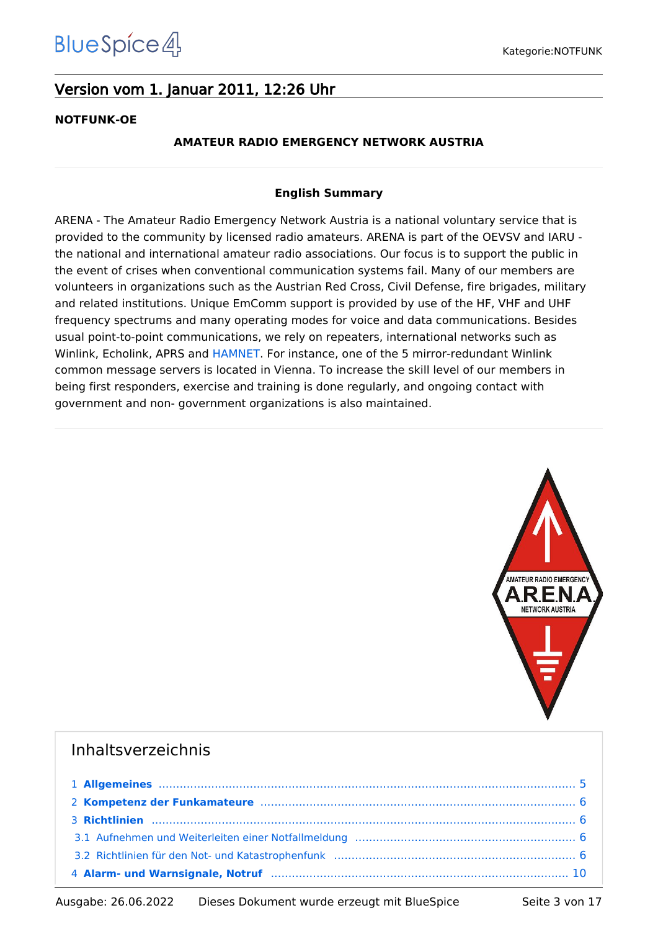# Version vom 1. Januar 2011, 12:26 Uhr

#### **NOTFUNK-OE**

#### **AMATEUR RADIO EMERGENCY NETWORK AUSTRIA**

#### **English Summary**

ARENA - The Amateur Radio Emergency Network Austria is a national voluntary service that is provided to the community by licensed radio amateurs. ARENA is part of the OEVSV and IARU the national and international amateur radio associations. Our focus is to support the public in the event of crises when conventional communication systems fail. Many of our members are volunteers in organizations such as the Austrian Red Cross, Civil Defense, fire brigades, military and related institutions. Unique EmComm support is provided by use of the HF, VHF and UHF frequency spectrums and many operating modes for voice and data communications. Besides usual point-to-point communications, we rely on repeaters, international networks such as Winlink, Echolink, APRS and [HAMNET](https://wiki.oevsv.at/wiki/Kategorie:Digitaler_Backbone). For instance, one of the 5 mirror-redundant Winlink common message servers is located in Vienna. To increase the skill level of our members in being first responders, exercise and training is done regularly, and ongoing contact with government and non- government organizations is also maintained.



## Inhaltsverzeichnis

| 2 Kompetenz der Funkamateure mannen mannen mannen und anderen Bilder an an Bilder and Schwarzen and Schwarzen |  |
|---------------------------------------------------------------------------------------------------------------|--|
|                                                                                                               |  |
|                                                                                                               |  |
|                                                                                                               |  |
|                                                                                                               |  |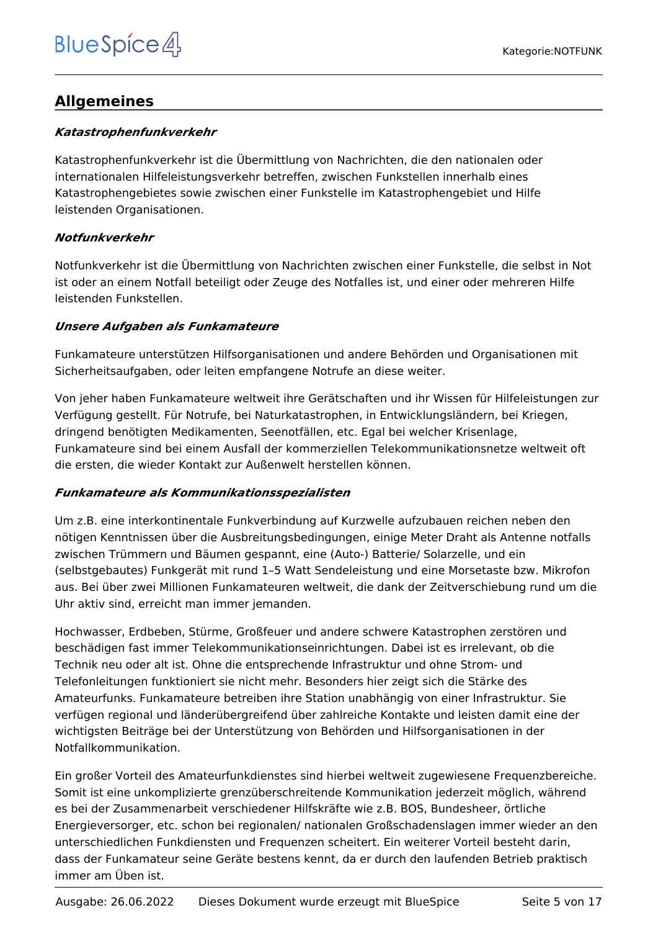# <span id="page-4-0"></span>**Allgemeines**

#### *Katastrophenfunkverkehr*

Katastrophenfunkverkehr ist die Übermittlung von Nachrichten, die den nationalen oder internationalen Hilfeleistungsverkehr betreffen, zwischen Funkstellen innerhalb eines Katastrophengebietes sowie zwischen einer Funkstelle im Katastrophengebiet und Hilfe leistenden Organisationen.

#### *Notfunkverkehr*

Notfunkverkehr ist die Übermittlung von Nachrichten zwischen einer Funkstelle, die selbst in Not ist oder an einem Notfall beteiligt oder Zeuge des Notfalles ist, und einer oder mehreren Hilfe leistenden Funkstellen.

#### *Unsere Aufgaben als Funkamateure*

Funkamateure unterstützen Hilfsorganisationen und andere Behörden und Organisationen mit Sicherheitsaufgaben, oder leiten empfangene Notrufe an diese weiter.

Von jeher haben Funkamateure weltweit ihre Gerätschaften und ihr Wissen für Hilfeleistungen zur Verfügung gestellt. Für Notrufe, bei Naturkatastrophen, in Entwicklungsländern, bei Kriegen, dringend benötigten Medikamenten, Seenotfällen, etc. Egal bei welcher Krisenlage, Funkamateure sind bei einem Ausfall der kommerziellen Telekommunikationsnetze weltweit oft die ersten, die wieder Kontakt zur Außenwelt herstellen können.

#### *Funkamateure als Kommunikationsspezialisten*

Um z.B. eine interkontinentale Funkverbindung auf Kurzwelle aufzubauen reichen neben den nötigen Kenntnissen über die Ausbreitungsbedingungen, einige Meter Draht als Antenne notfalls zwischen Trümmern und Bäumen gespannt, eine (Auto-) Batterie/ Solarzelle, und ein (selbstgebautes) Funkgerät mit rund 1–5 Watt Sendeleistung und eine Morsetaste bzw. Mikrofon aus. Bei über zwei Millionen Funkamateuren weltweit, die dank der Zeitverschiebung rund um die Uhr aktiv sind, erreicht man immer jemanden.

Hochwasser, Erdbeben, Stürme, Großfeuer und andere schwere Katastrophen zerstören und beschädigen fast immer Telekommunikationseinrichtungen. Dabei ist es irrelevant, ob die Technik neu oder alt ist. Ohne die entsprechende Infrastruktur und ohne Strom- und Telefonleitungen funktioniert sie nicht mehr. Besonders hier zeigt sich die Stärke des Amateurfunks. Funkamateure betreiben ihre Station unabhängig von einer Infrastruktur. Sie verfügen regional und länderübergreifend über zahlreiche Kontakte und leisten damit eine der wichtigsten Beiträge bei der Unterstützung von Behörden und Hilfsorganisationen in der Notfallkommunikation.

Ein großer Vorteil des Amateurfunkdienstes sind hierbei weltweit zugewiesene Frequenzbereiche. Somit ist eine unkomplizierte grenzüberschreitende Kommunikation jederzeit möglich, während es bei der Zusammenarbeit verschiedener Hilfskräfte wie z.B. BOS, Bundesheer, örtliche Energieversorger, etc. schon bei regionalen/ nationalen Großschadenslagen immer wieder an den unterschiedlichen Funkdiensten und Frequenzen scheitert. Ein weiterer Vorteil besteht darin, dass der Funkamateur seine Geräte bestens kennt, da er durch den laufenden Betrieb praktisch immer am Üben ist.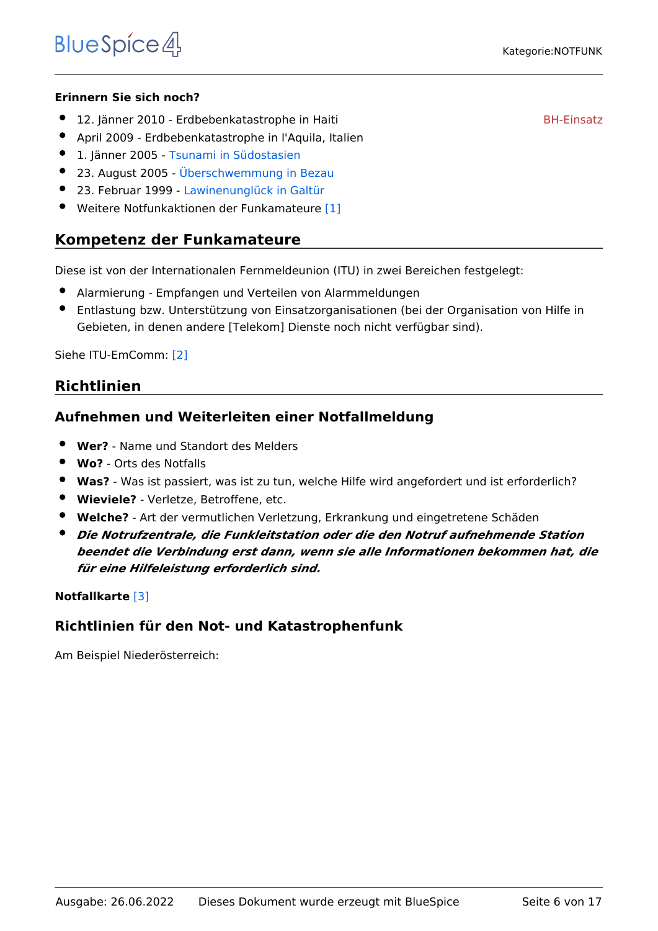immer am Öben ist. Der der Stadt in der Stadt in der Stadt in der Stadt in der Stadt in der Stadt in der Stadt

#### **Erinnern Sie sich noch?**

- 12. Jänner 2010 Erdbebenkatastrophe in Haiti
- April 2009 Erdbebenkatastrophe in l'Aquila, Italien
- 1. Jänner 2005 [Tsunami in Südostasien](https://wiki.oevsv.at/wiki/Tsunami_in_S%C3%BCdostasien)  $\bullet$
- 23. August 2005 - [Überschwemmung in Bezau](https://wiki.oevsv.at/wiki/%C3%9Cberschwemmung_in_Bezau)
- 23. Februar 1999 - [Lawinenunglück in Galtür](https://wiki.oevsv.at/wiki/Lawinenungl%C3%BCck_in_Galt%C3%BCr)
- Weitere Notfunkaktionen der Funkamateure [\[1\]](http://de.wikipedia.org/wiki/Notfunk#Beispiele_f.C3.BCr_Notfunkaktionen_der_Funkamateure)

#### <span id="page-5-0"></span>**Kompetenz der Funkamateure**

Diese ist von der Internationalen Fernmeldeunion (ITU) in zwei Bereichen festgelegt:

- Alarmierung Empfangen und Verteilen von Alarmmeldungen
- Entlastung bzw. Unterstützung von Einsatzorganisationen (bei der Organisation von Hilfe in Gebieten, in denen andere [Telekom] Dienste noch nicht verfügbar sind).

Siehe ITU-EmComm: [\[2\]](http://www.itu.int/ITU-R/index.asp?category=information&rlink=emergency&lang=en)

#### <span id="page-5-1"></span>**Richtlinien**

#### <span id="page-5-2"></span>**Aufnehmen und Weiterleiten einer Notfallmeldung**

- **Wer?** Name und Standort des Melders
- **Wo?** Orts des Notfalls
- **Was?** Was ist passiert, was ist zu tun, welche Hilfe wird angefordert und ist erforderlich?
- **Wieviele?** Verletze, Betroffene, etc.
- **Welche?** Art der vermutlichen Verletzung, Erkrankung und eingetretene Schäden
- *Die Notrufzentrale, die Funkleitstation oder die den Notruf aufnehmende Station beendet die Verbindung erst dann, wenn sie alle Informationen bekommen hat, die für eine Hilfeleistung erforderlich sind.*

#### **Notfallkarte** [\[3\]](http://www.oevsv.at/export/oevsv/download/Notfallkarte.pdf)

#### <span id="page-5-3"></span>**Richtlinien für den Not- und Katastrophenfunk**

Am Beispiel Niederösterreich:

[BH-Einsatz](https://wiki.oevsv.at/w/index.php?title=Spezial:Hochladen&wpDestFile=galtuer_1999.jpg)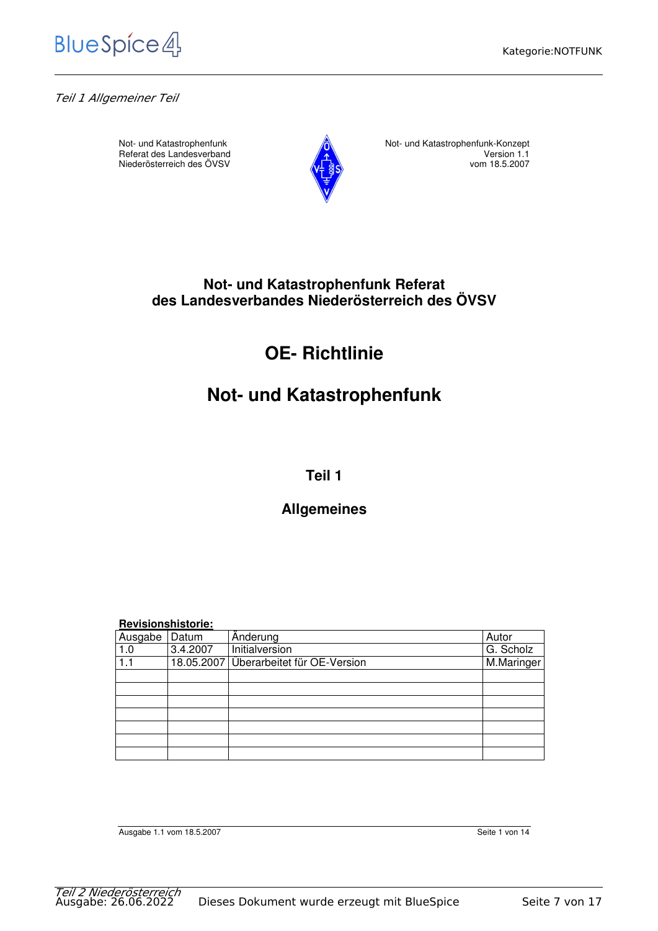

*Teil 1 Allgemeiner Teil*

Niederösterreich des ÖVSV



Not- und Katastrophenfunk<br>
Referat des Landesverband<br>
1.1
Not- und Katastrophenfunk-Konzept<br>
Version 1.1 Referat des Landesverband Version 1.1<br>Niederösterreich des ÖVSV vom 18.5.2007

## **Not- und Katastrophenfunk Referat des Landesverbandes Niederösterreich des ÖVSV**

# **OE- Richtlinie**

# **Not- und Katastrophenfunk**

## **Teil 1**

# **Allgemeines**

|  | <b>Revisionshistorie:</b> |  |
|--|---------------------------|--|
|  |                           |  |

| Ausgabe | Datum    | Anderung                               | Autor      |
|---------|----------|----------------------------------------|------------|
| 1.0     | 3.4.2007 | Initialversion                         | G. Scholz  |
| 1.1     |          | 18.05.2007 Überarbeitet für OE-Version | M.Maringer |
|         |          |                                        |            |
|         |          |                                        |            |
|         |          |                                        |            |
|         |          |                                        |            |
|         |          |                                        |            |
|         |          |                                        |            |
|         |          |                                        |            |

Ausgabe 1.1 vom 18.5.2007 Seite 1 von 14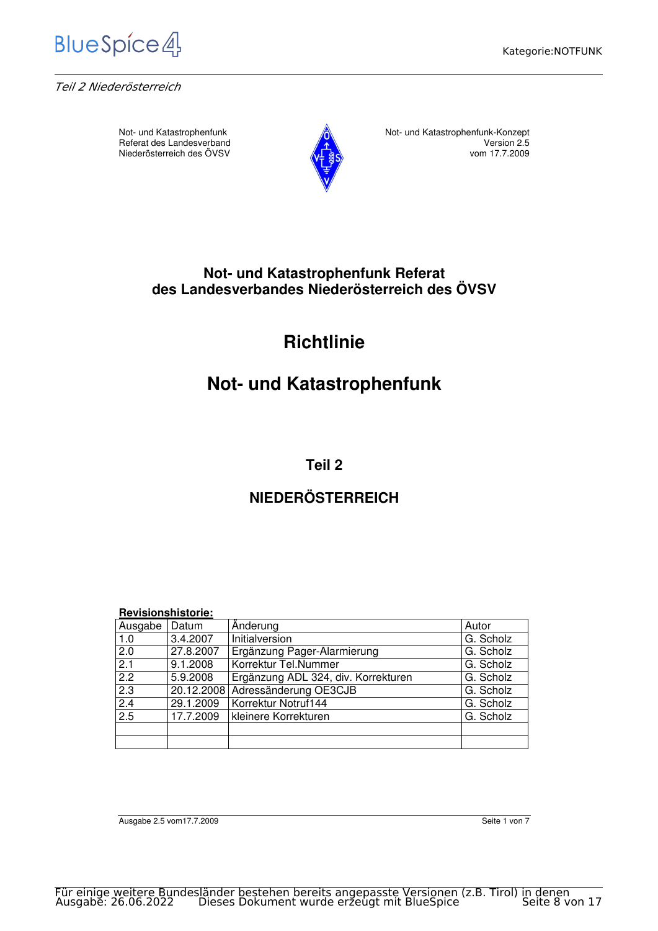

*Teil 2 Niederösterreich*

Niederösterreich des ÖVSV



Not- und Katastrophenfunk<br>Referat des Landesverband<br>Not- und Katastrophenfunk-Konzept<br>Version 2.5 Referat des Landesverband Version 2.5

## **Not- und Katastrophenfunk Referat des Landesverbandes Niederösterreich des ÖVSV**

# **Richtlinie**

# **Not- und Katastrophenfunk**

**Teil 2** 

# **NIEDERÖSTERREICH**

| <b>Revisionshistorie:</b> |           |                                     |           |  |
|---------------------------|-----------|-------------------------------------|-----------|--|
| Ausgabe                   | Datum     | Änderung                            | Autor     |  |
| 1.0                       | 3.4.2007  | Initialversion                      | G. Scholz |  |
| 2.0                       | 27.8.2007 | Ergänzung Pager-Alarmierung         | G. Scholz |  |
| $\overline{2.1}$          | 9.1.2008  | Korrektur Tel.Nummer                | G. Scholz |  |
| $\overline{2.2}$          | 5.9.2008  | Ergänzung ADL 324, div. Korrekturen | G. Scholz |  |
| 2.3                       |           | 20.12.2008 Adressänderung OE3CJB    | G. Scholz |  |
| 2.4                       | 29.1.2009 | Korrektur Notruf144                 | G. Scholz |  |
| 2.5                       | 17.7.2009 | kleinere Korrekturen                | G. Scholz |  |
|                           |           |                                     |           |  |
|                           |           |                                     |           |  |

Ausgabe 2.5 vom17.7.2009 Seite 1 von 7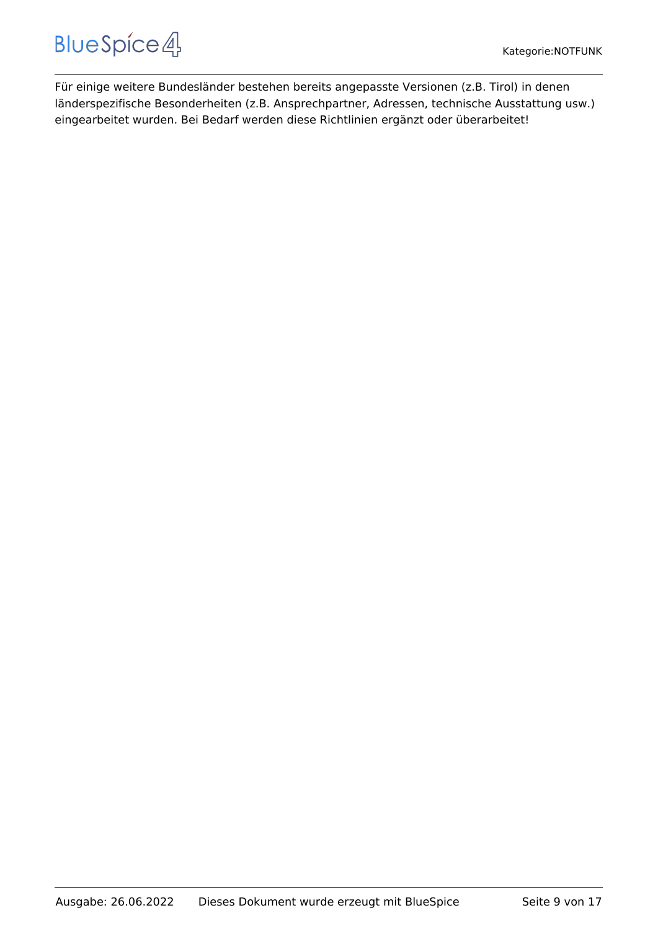Für einige weitere Bundesländer bestehen bereits angepasste Versionen (z.B. Tirol) in denen länderspezifische Besonderheiten (z.B. Ansprechpartner, Adressen, technische Ausstattung usw.) eingearbeitet wurden. Bei Bedarf werden diese Richtlinien ergänzt oder überarbeitet!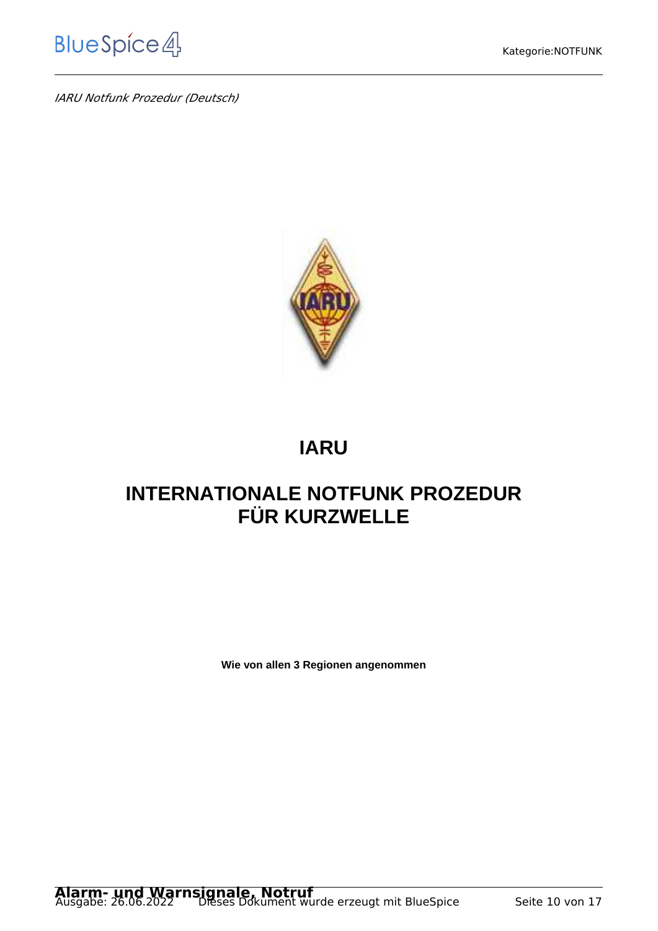*IARU Notfunk Prozedur (Deutsch)*



# **IARU**

# **INTERNATIONALE NOTFUNK PROZEDUR FÜR KURZWELLE**

**Wie von allen 3 Regionen angenommen**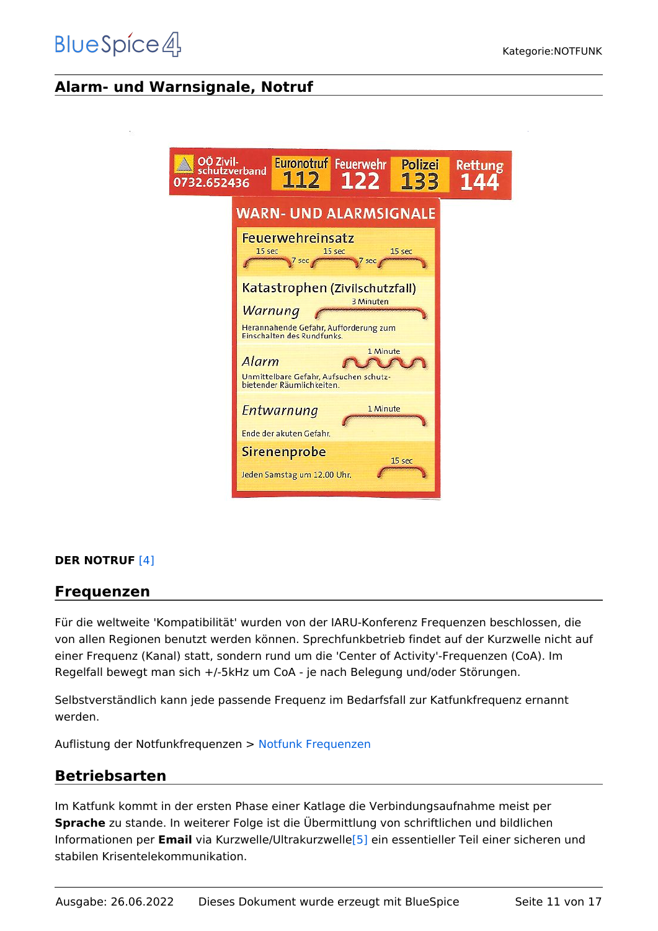# <span id="page-10-0"></span>**Alarm- und Warnsignale, Notruf**

 $\overline{0}$ 

| OÖ Zivil-<br>732.652436 | <b>Euronotruf Feuerwehr</b><br>Polizei<br>schutzverband<br>112<br>$122$<br>133                                                       | <b>Rettung</b> |
|-------------------------|--------------------------------------------------------------------------------------------------------------------------------------|----------------|
|                         | <b>WARN- UND ALARMSIGNALE</b>                                                                                                        |                |
|                         | Feuerwehreinsatz<br>15 sec<br>15 sec<br>15 sec<br>7 sec<br>sec                                                                       |                |
|                         | Katastrophen (Zivilschutzfall)<br>3 Minuten<br><b>Warnung</b><br>Herannahende Gefahr, Aufforderung zum<br>Einschalten des Rundfunks. |                |
|                         | 1 Minute<br>Alarm<br>Unmittelbare Gefahr, Aufsuchen schutz-<br>bietender Räumlichkeiten.                                             |                |
|                         | 1 Minute<br>Entwarnung<br>Ende der akuten Gefahr.                                                                                    |                |
|                         | Sirenenprobe<br>15 sec<br>Jeden Samstag um 12.00 Uhr.                                                                                |                |

#### **DER NOTRUF** [\[4\]](http://de.wikipedia.org/wiki/Notruf#Die_Notrufnummern)

#### <span id="page-10-1"></span>**Frequenzen**

Für die weltweite 'Kompatibilität' wurden von der IARU-Konferenz Frequenzen beschlossen, die von allen Regionen benutzt werden können. Sprechfunkbetrieb findet auf der Kurzwelle nicht auf einer Frequenz (Kanal) statt, sondern rund um die 'Center of Activity'-Frequenzen (CoA). Im Regelfall bewegt man sich +/-5kHz um CoA - je nach Belegung und/oder Störungen.

Selbstverständlich kann jede passende Frequenz im Bedarfsfall zur Katfunkfrequenz ernannt werden.

Auflistung der Notfunkfrequenzen > [Notfunk Frequenzen](https://wiki.oevsv.at/wiki/Notfunk_Frequenzen)

#### <span id="page-10-2"></span>**Betriebsarten**

Im Katfunk kommt in der ersten Phase einer Katlage die Verbindungsaufnahme meist per **Sprache** zu stande. In weiterer Folge ist die Übermittlung von schriftlichen und bildlichen Informationen per **Email** via Kurzwelle/Ultrakurzwelle[\[5\]](http://wiki.oevsv.at/index.php/Kategorie:WINLINK) ein essentieller Teil einer sicheren und stabilen Krisentelekommunikation.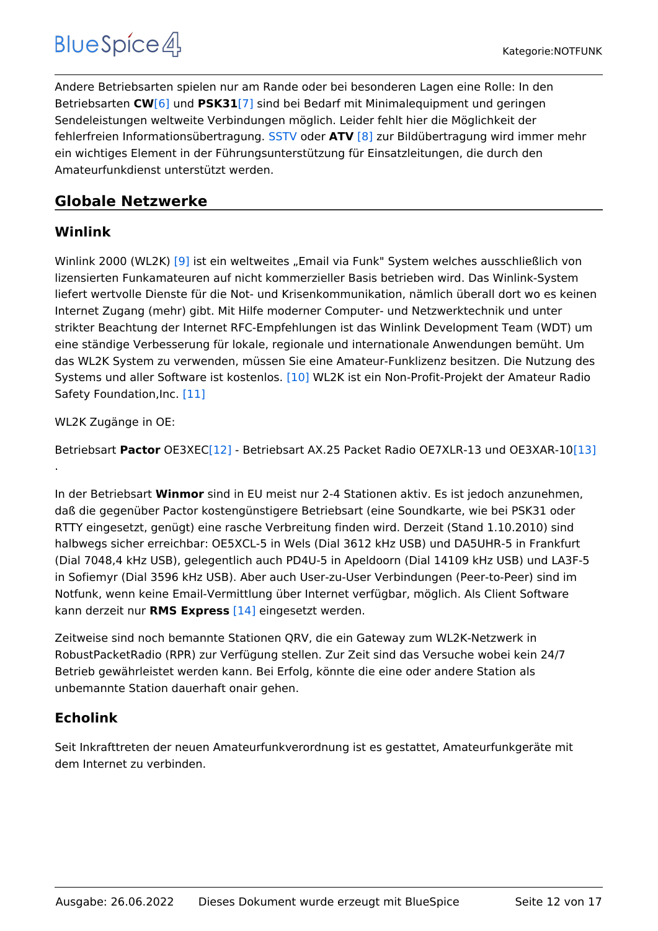Andere Betriebsarten spielen nur am Rande oder bei besonderen Lagen eine Rolle: In den Betriebsarten **CW**[\[6\]](http://wiki.oevsv.at/index.php/Kategorie:Morsen) und **PSK31**[\[7\]](http://wiki.oevsv.at/index.php/PSK31) sind bei Bedarf mit Minimalequipment und geringen Sendeleistungen weltweite Verbindungen möglich. Leider fehlt hier die Möglichkeit der fehlerfreien Informationsübertragung. [SSTV](https://wiki.oevsv.at/wiki/SSTV) oder **ATV** [\[8\]](http://wiki.oevsv.at/index.php/Kategorie:ATV) zur Bildübertragung wird immer mehr ein wichtiges Element in der Führungsunterstützung für Einsatzleitungen, die durch den Amateurfunkdienst unterstützt werden.

# <span id="page-11-0"></span>**Globale Netzwerke**

## <span id="page-11-1"></span>**Winlink**

Winlink 2000 (WL2K) [\[9\]](http://wiki.oevsv.at/index.php/Kategorie:WINLINK) ist ein weltweites "Email via Funk" System welches ausschließlich von lizensierten Funkamateuren auf nicht kommerzieller Basis betrieben wird. Das Winlink-System liefert wertvolle Dienste für die Not- und Krisenkommunikation, nämlich überall dort wo es keinen Internet Zugang (mehr) gibt. Mit Hilfe moderner Computer- und Netzwerktechnik und unter strikter Beachtung der Internet RFC-Empfehlungen ist das Winlink Development Team (WDT) um eine ständige Verbesserung für lokale, regionale und internationale Anwendungen bemüht. Um das WL2K System zu verwenden, müssen Sie eine Amateur-Funklizenz besitzen. Die Nutzung des Systems und aller Software ist kostenlos. [\[10\]](http://www.winlink.org/ClientSoftware) WL2K ist ein Non-Profit-Projekt der Amateur Radio Safety Foundation,Inc. [\[11\]](http://www.arsfi.org/)

WL2K Zugänge in OE:

.

Betriebsart **Pactor** OE3XE[C\[12\]](http://www.winlink.org/RMSHFStatus) - Betriebsart AX.25 Packet Radio OE7XLR-13 und OE3XAR-10[\[13\]](http://www.winlink.org/RMSpacketStatus)

In der Betriebsart **Winmor** sind in EU meist nur 2-4 Stationen aktiv. Es ist jedoch anzunehmen, daß die gegenüber Pactor kostengünstigere Betriebsart (eine Soundkarte, wie bei PSK31 oder RTTY eingesetzt, genügt) eine rasche Verbreitung finden wird. Derzeit (Stand 1.10.2010) sind halbwegs sicher erreichbar: OE5XCL-5 in Wels (Dial 3612 kHz USB) und DA5UHR-5 in Frankfurt (Dial 7048,4 kHz USB), gelegentlich auch PD4U-5 in Apeldoorn (Dial 14109 kHz USB) und LA3F-5 in Sofiemyr (Dial 3596 kHz USB). Aber auch User-zu-User Verbindungen (Peer-to-Peer) sind im Notfunk, wenn keine Email-Vermittlung über Internet verfügbar, möglich. Als Client Software kann derzeit nur **RMS Express** [\[14\]](http://www.winlink.org/ClientSoftware) eingesetzt werden.

Zeitweise sind noch bemannte Stationen QRV, die ein Gateway zum WL2K-Netzwerk in RobustPacketRadio (RPR) zur Verfügung stellen. Zur Zeit sind das Versuche wobei kein 24/7 Betrieb gewährleistet werden kann. Bei Erfolg, könnte die eine oder andere Station als unbemannte Station dauerhaft onair gehen.

# <span id="page-11-2"></span>**Echolink**

Seit Inkrafttreten der neuen Amateurfunkverordnung ist es gestattet, Amateurfunkgeräte mit dem Internet zu verbinden.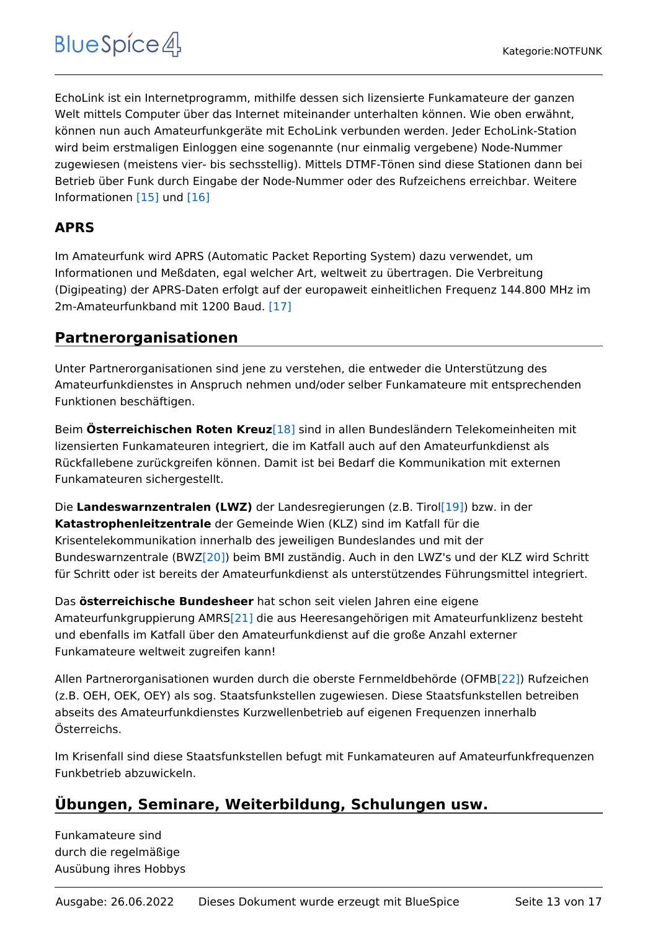EchoLink ist ein Internetprogramm, mithilfe dessen sich lizensierte Funkamateure der ganzen Welt mittels Computer über das Internet miteinander unterhalten können. Wie oben erwähnt, können nun auch Amateurfunkgeräte mit EchoLink verbunden werden. Jeder EchoLink-Station wird beim erstmaligen Einloggen eine sogenannte (nur einmalig vergebene) Node-Nummer zugewiesen (meistens vier- bis sechsstellig). Mittels DTMF-Tönen sind diese Stationen dann bei Betrieb über Funk durch Eingabe der Node-Nummer oder des Rufzeichens erreichbar. Weitere Informationen [\[15\]](http://wiki.oevsv.at/index.php/Kategorie:Echolink) und [\[16\]](http://www.echolink.at)

# <span id="page-12-0"></span>**APRS**

Im Amateurfunk wird APRS (Automatic Packet Reporting System) dazu verwendet, um Informationen und Meßdaten, egal welcher Art, weltweit zu übertragen. Die Verbreitung (Digipeating) der APRS-Daten erfolgt auf der europaweit einheitlichen Frequenz 144.800 MHz im 2m-Amateurfunkband mit 1200 Baud. [\[17\]](http://wiki.oevsv.at/index.php/Kategorie:APRS)

# <span id="page-12-1"></span>**Partnerorganisationen**

Unter Partnerorganisationen sind jene zu verstehen, die entweder die Unterstützung des Amateurfunkdienstes in Anspruch nehmen und/oder selber Funkamateure mit entsprechenden Funktionen beschäftigen.

Beim **Österreichischen Roten Kreuz**[\[18\]](http://www.roteskreuz.at) sind in allen Bundesländern Telekomeinheiten mit lizensierten Funkamateuren integriert, die im Katfall auch auf den Amateurfunkdienst als Rückfallebene zurückgreifen können. Damit ist bei Bedarf die Kommunikation mit externen Funkamateuren sichergestellt.

Die **Landeswarnzentralen (LWZ)** der Landesregierungen (z.B. Tiro[l\[19\]\)](http://www.tirol.gv.at/themen/sicherheit/katziv/lwz/) bzw. in der **Katastrophenleitzentrale** der Gemeinde Wien (KLZ) sind im Katfall für die Krisentelekommunikation innerhalb des jeweiligen Bundeslandes und mit der Bundeswarnzentrale (BW[Z\[20\]\)](http://www.bmi.gv.at/cms/BMI_Zivilschutz/mehr_zum_thema/Bundeswarnzentrale.aspx) beim BMI zuständig. Auch in den LWZ's und der KLZ wird Schritt für Schritt oder ist bereits der Amateurfunkdienst als unterstützendes Führungsmittel integriert.

Das **österreichische Bundesheer** hat schon seit vielen Jahren eine eigene Amateurfunkgruppierung AMR[S\[21\]](http://www.amrs.at) die aus Heeresangehörigen mit Amateurfunklizenz besteht und ebenfalls im Katfall über den Amateurfunkdienst auf die große Anzahl externer Funkamateure weltweit zugreifen kann!

Allen Partnerorganisationen wurden durch die oberste Fernmeldbehörde (OFMB[\[22\]\)](http://www.bmvit.gv.at/telekommunikation/index.html) Rufzeichen (z.B. OEH, OEK, OEY) als sog. Staatsfunkstellen zugewiesen. Diese Staatsfunkstellen betreiben abseits des Amateurfunkdienstes Kurzwellenbetrieb auf eigenen Frequenzen innerhalb Österreichs.

Im Krisenfall sind diese Staatsfunkstellen befugt mit Funkamateuren auf Amateurfunkfrequenzen Funkbetrieb abzuwickeln.

# <span id="page-12-2"></span>**Übungen, Seminare, Weiterbildung, Schulungen usw.**

Funkamateure sind durch die regelmäßige Ausübung ihres Hobbys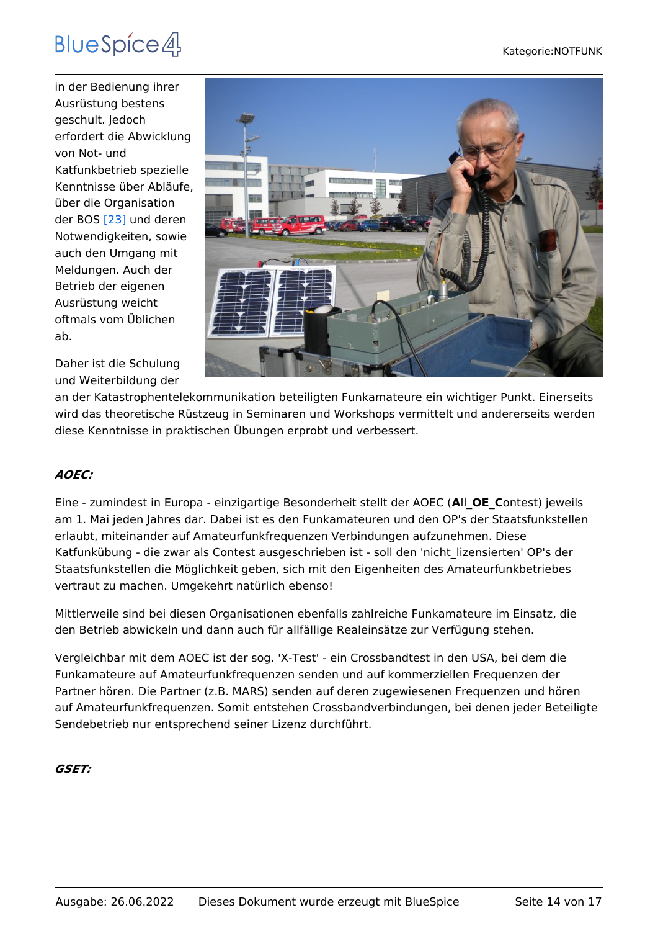in der Bedienung ihrer Ausrüstung bestens geschult. Jedoch erfordert die Abwicklung von Not- und Katfunkbetrieb spezielle Kenntnisse über Abläufe, über die Organisation der BOS [\[23\]](http://de.wikipedia.org/wiki/Funksystem_der_BOS_in_%C3%96sterreich) und deren Notwendigkeiten, sowie auch den Umgang mit Meldungen. Auch der Betrieb der eigenen Ausrüstung weicht oftmals vom Üblichen ab.



Daher ist die Schulung und Weiterbildung der

an der Katastrophentelekommunikation beteiligten Funkamateure ein wichtiger Punkt. Einerseits wird das theoretische Rüstzeug in Seminaren und Workshops vermittelt und andererseits werden diese Kenntnisse in praktischen Übungen erprobt und verbessert.

#### *AOEC:*

Eine - zumindest in Europa - einzigartige Besonderheit stellt der AOEC (**A**ll\_**OE**\_**C**ontest) jeweils am 1. Mai jeden Jahres dar. Dabei ist es den Funkamateuren und den OP's der Staatsfunkstellen erlaubt, miteinander auf Amateurfunkfrequenzen Verbindungen aufzunehmen. Diese Katfunkübung - die zwar als Contest ausgeschrieben ist - soll den 'nicht\_lizensierten' OP's der Staatsfunkstellen die Möglichkeit geben, sich mit den Eigenheiten des Amateurfunkbetriebes vertraut zu machen. Umgekehrt natürlich ebenso!

Mittlerweile sind bei diesen Organisationen ebenfalls zahlreiche Funkamateure im Einsatz, die den Betrieb abwickeln und dann auch für allfällige Realeinsätze zur Verfügung stehen.

Vergleichbar mit dem AOEC ist der sog. 'X-Test' - ein Crossbandtest in den USA, bei dem die Funkamateure auf Amateurfunkfrequenzen senden und auf kommerziellen Frequenzen der Partner hören. Die Partner (z.B. MARS) senden auf deren zugewiesenen Frequenzen und hören auf Amateurfunkfrequenzen. Somit entstehen Crossbandverbindungen, bei denen jeder Beteiligte Sendebetrieb nur entsprechend seiner Lizenz durchführt.

#### *GSET:*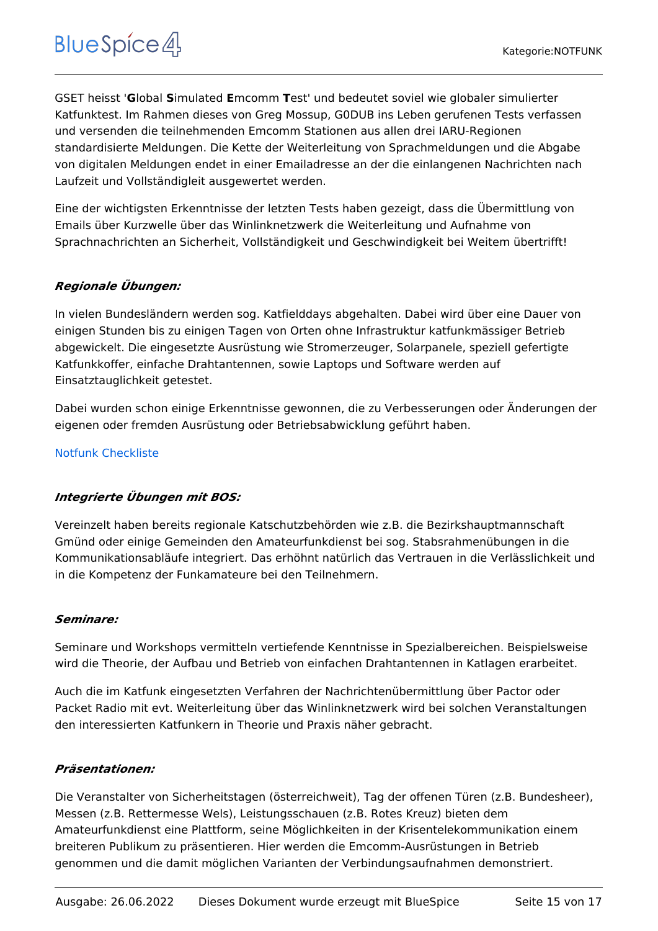GSET heisst '**G**lobal **S**imulated **E**mcomm **T**est' und bedeutet soviel wie globaler simulierter Katfunktest. Im Rahmen dieses von Greg Mossup, G0DUB ins Leben gerufenen Tests verfassen und versenden die teilnehmenden Emcomm Stationen aus allen drei IARU-Regionen standardisierte Meldungen. Die Kette der Weiterleitung von Sprachmeldungen und die Abgabe von digitalen Meldungen endet in einer Emailadresse an der die einlangenen Nachrichten nach Laufzeit und Vollständigleit ausgewertet werden.

Eine der wichtigsten Erkenntnisse der letzten Tests haben gezeigt, dass die Übermittlung von Emails über Kurzwelle über das Winlinknetzwerk die Weiterleitung und Aufnahme von Sprachnachrichten an Sicherheit, Vollständigkeit und Geschwindigkeit bei Weitem übertrifft!

#### *Regionale Übungen:*

In vielen Bundesländern werden sog. Katfielddays abgehalten. Dabei wird über eine Dauer von einigen Stunden bis zu einigen Tagen von Orten ohne Infrastruktur katfunkmässiger Betrieb abgewickelt. Die eingesetzte Ausrüstung wie Stromerzeuger, Solarpanele, speziell gefertigte Katfunkkoffer, einfache Drahtantennen, sowie Laptops und Software werden auf Einsatztauglichkeit getestet.

Dabei wurden schon einige Erkenntnisse gewonnen, die zu Verbesserungen oder Änderungen der eigenen oder fremden Ausrüstung oder Betriebsabwicklung geführt haben.

#### [Notfunk Checkliste](https://wiki.oevsv.at/wiki/Notfunk_Checkliste)

#### *Integrierte Übungen mit BOS:*

Vereinzelt haben bereits regionale Katschutzbehörden wie z.B. die Bezirkshauptmannschaft Gmünd oder einige Gemeinden den Amateurfunkdienst bei sog. Stabsrahmenübungen in die Kommunikationsabläufe integriert. Das erhöhnt natürlich das Vertrauen in die Verlässlichkeit und in die Kompetenz der Funkamateure bei den Teilnehmern.

#### *Seminare:*

Seminare und Workshops vermitteln vertiefende Kenntnisse in Spezialbereichen. Beispielsweise wird die Theorie, der Aufbau und Betrieb von einfachen Drahtantennen in Katlagen erarbeitet.

Auch die im Katfunk eingesetzten Verfahren der Nachrichtenübermittlung über Pactor oder Packet Radio mit evt. Weiterleitung über das Winlinknetzwerk wird bei solchen Veranstaltungen den interessierten Katfunkern in Theorie und Praxis näher gebracht.

#### *Präsentationen:*

Die Veranstalter von Sicherheitstagen (österreichweit), Tag der offenen Türen (z.B. Bundesheer), Messen (z.B. Rettermesse Wels), Leistungsschauen (z.B. Rotes Kreuz) bieten dem Amateurfunkdienst eine Plattform, seine Möglichkeiten in der Krisentelekommunikation einem breiteren Publikum zu präsentieren. Hier werden die Emcomm-Ausrüstungen in Betrieb genommen und die damit möglichen Varianten der Verbindungsaufnahmen demonstriert.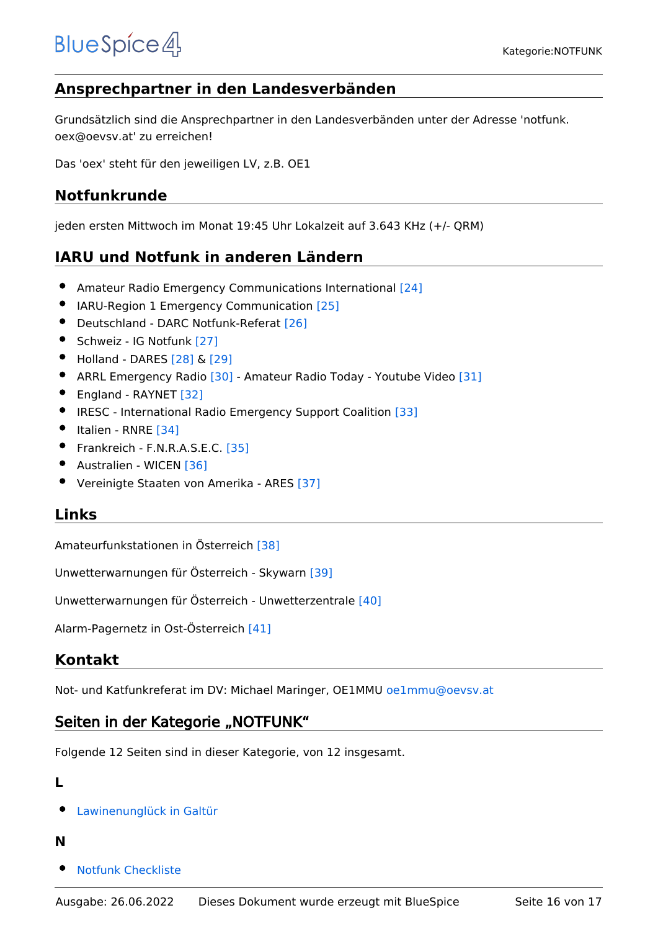# <span id="page-15-0"></span>**Ansprechpartner in den Landesverbänden**

Grundsätzlich sind die Ansprechpartner in den Landesverbänden unter der Adresse 'notfunk. oex@oevsv.at' zu erreichen!

Das 'oex' steht für den jeweiligen LV, z.B. OE1

## <span id="page-15-1"></span>**Notfunkrunde**

jeden ersten Mittwoch im Monat 19:45 Uhr Lokalzeit auf 3.643 KHz (+/- QRM)

# <span id="page-15-2"></span>**IARU und Notfunk in anderen Ländern**

- Amateur Radio Emergency Communications International [\[24\]](http://en.wikipedia.org/wiki/Amateur_radio_emergency_communications)
- **IARU-Region 1 Emergency Communication [\[25\]](http://www.iaru-r1.org/index.php?option=com_content&view=category&layout=blog&id=48&Itemid=99)**
- **•** Deutschland DARC Notfunk-Referat [\[26\]](http://www.darc.de/referate/notfunk/)
- Schweiz IG Notfunk [\[27\]](http://www.notfunk.ch)
- Holland DARES [\[28\]](http://www.dares.nl/index.php?option=com_content&view=category&layout=blog&id=61&Itemid=111) & [\[29\]](http://www.pd4u.nl/EMCOMM.php)
- ARRL Emergency Radio [\[30\]](http://www.emergency-radio.org/)  Amateur Radio Today Youtube Video [\[31\]](http://www.youtube.com/watch?v=5Z9136_Nhh4)
- England RAYNET [\[32\]](http://www.raynet-uk.net/)
- **IRESC International Radio Emergency Support Coalition [\[33\]](http://www.iresc.org/)**
- Italien RNRE [\[34\]](http://www.rnre.eu)
- Frankreich F.N.R.A.S.E.C. [\[35\]](http://www.fnrasec.org)
- Australien WICEN [\[36\]](http://www.wicen.org.au)
- Vereinigte Staaten von Amerika ARES [\[37\]](http://www.ares.org)

### <span id="page-15-3"></span>**Links**

Amateurfunkstationen in Österreich [\[38\]](http://www.bmvit.gv.at/telekommunikation/funk/funkdienste/downloads/rfzliste.pdf)

Unwetterwarnungen für Österreich - Skywarn [\[39\]](http://www.skywarn.at/)

Unwetterwarnungen für Österreich - Unwetterzentrale [\[40\]](http://www.uwz.at)

Alarm-Pagernetz in Ost-Österreich [\[41\]](http://www.pagernetz.at/wb/)

### <span id="page-15-4"></span>**Kontakt**

Not- und Katfunkreferat im DV: Michael Maringer, OE1MMU oe1mmu@oevsv.at

### Seiten in der Kategorie "NOTFUNK"

Folgende 12 Seiten sind in dieser Kategorie, von 12 insgesamt.

#### **L**

[Lawinenunglück in Galtür](https://wiki.oevsv.at/wiki/Lawinenungl%C3%BCck_in_Galt%C3%BCr)

#### **N**

[Notfunk Checkliste](https://wiki.oevsv.at/wiki/Notfunk_Checkliste)